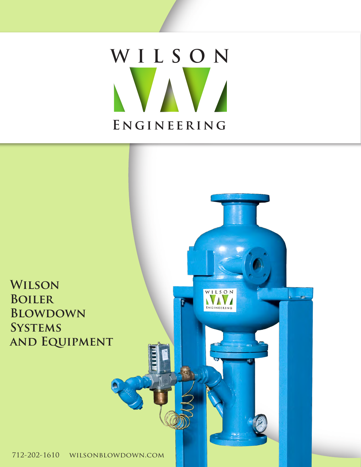# **ENGINEERING WILSON**

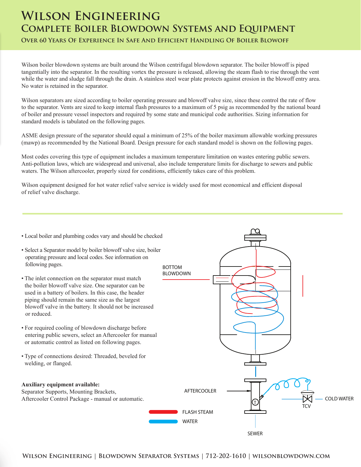## **Wilson Engineering Complete Boiler Blowdown Systems and Equipment Over 60 Years Of Experience In Safe And Efficient Handling Of Boiler Blowoff**

Wilson boiler blowdown systems are built around the Wilson centrifugal blowdown separator. The boiler blowoff is piped tangentially into the separator. In the resulting vortex the pressure is released, allowing the steam flash to rise through the vent while the water and sludge fall through the drain. A stainless steel wear plate protects against erosion in the blowoff entry area. No water is retained in the separator.

Wilson separators are sized according to boiler operating pressure and blowoff valve size, since these control the rate of flow to the separator. Vents are sized to keep internal flash pressures to a maximum of 5 psig as recommended by the national board of boiler and pressure vessel inspectors and required by some state and municipal code authorities. Sizing information for standard models is tabulated on the following pages.

ASME design pressure of the separator should equal a minimum of 25% of the boiler maximum allowable working pressures (mawp) as recommended by the National Board. Design pressure for each standard model is shown on the following pages.

Most codes covering this type of equipment includes a maximum temperature limitation on wastes entering public sewers. Anti-pollution laws, which are widespread and universal, also include temperature limits for discharge to sewers and public waters. The Wilson aftercooler, properly sized for conditions, efficiently takes care of this problem.

Wilson equipment designed for hot water relief valve service is widely used for most economical and efficient disposal of relief valve discharge.

- Local boiler and plumbing codes vary and should be checked
- Select a Separator model by boiler blowoff valve size, boiler operating pressure and local codes. See information on following pages.
- The inlet connection on the separator must match the boiler blowoff valve size. One separator can be used in a battery of boilers. In this case, the header piping should remain the same size as the largest blowoff valve in the battery. It should not be increased or reduced.
- For required cooling of blowdown discharge before entering public sewers, select an Aftercooler for manual or automatic control as listed on following pages.
- Type of connections desired: Threaded, beveled for welding, or flanged.

#### **Auxiliary equipment available:**

Separator Supports, Mounting Brackets, Aftercooler Control Package - manual or automatic.

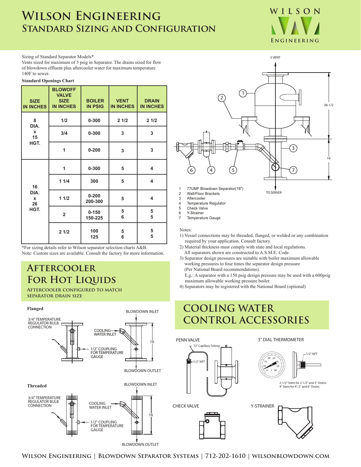## **Wilson Engineering Standard Sizing and Configuration**



Sizing of Standard Separator Models\*

Vents sized for maximum of 5 psig in Separator. The drains sized for flow of blowdown effluent plus aftercooler water for maximum temperature 140F to sewer.

#### **Standard Openings Chart**

| <b>SIZE</b><br><b>IN INCHES</b>         | <b>BLOWOFF</b><br><b>VALVE</b><br><b>SIZE</b><br><b>IN INCHES</b> | <b>BOILER</b><br><b>IN PSIG</b> | <b>VENT</b><br><b>IN INCHES</b> | <b>DRAIN</b><br><b>IN INCHES</b> |
|-----------------------------------------|-------------------------------------------------------------------|---------------------------------|---------------------------------|----------------------------------|
| 8<br>DIA.<br>$\mathbf x$<br>15<br>HGT.  | 1/2                                                               | 0-300                           | 21/2                            | 21/2                             |
|                                         | 3/4                                                               | $0 - 300$                       | 3                               | 3                                |
|                                         | 1                                                                 | $0 - 200$                       | 3                               | 3                                |
| 16<br>DIA.<br>$\mathbf x$<br>26<br>HGT. | 1                                                                 | $0 - 300$                       | 5                               | 4                                |
|                                         | 11/4                                                              | 300                             | 5                               | $\overline{\mathbf{4}}$          |
|                                         | 11/2                                                              | $0 - 200$<br>200-300            | 5                               | 4                                |
|                                         | $\overline{2}$                                                    | $0 - 150$<br>150-225            | 5<br>6                          | 5<br>5                           |
|                                         | 21/2                                                              | 100<br>125                      | 5<br>6                          | 5<br>5                           |

\*For sizing details refer to Wilson separator selection charts A&B. Note: Custom sizes are available. Consult the factory for more information.

### **Aftercooler FOR HOT LIQUIDS**

**Aftercooler configured to match separator drain size**





- 1 77UMF Blowdown Separator(16")
- 2 Wall/Floor Brackets
- 3 Aftercooler
- 4 Temperature Regulator
- 5 Check Valve 6 Y-Strainer
- 7 Temperature Gauge

#### Notes:

1) Vessel connections may be threaded, flanged, or welded or any combination required by your application. Consult factory.

TO SERVER

- 2) Material thickness must comply with state and local regulations. All separators shown are constructed to A.S.M.E. Code.
- 3) Separator design pressures are suitable with boiler maximum allowable working pressures to four times the separator design pressure (Per National Board recommendations).
- E.g.: A separator with a 150 psig design pressure may be used with a 600psig maximum allowable working pressure boiler.

1/2" NPT

4) Separators may be registered with the National Board (optional)

## **COOLING WATER CONTROL ACCESSORIES**